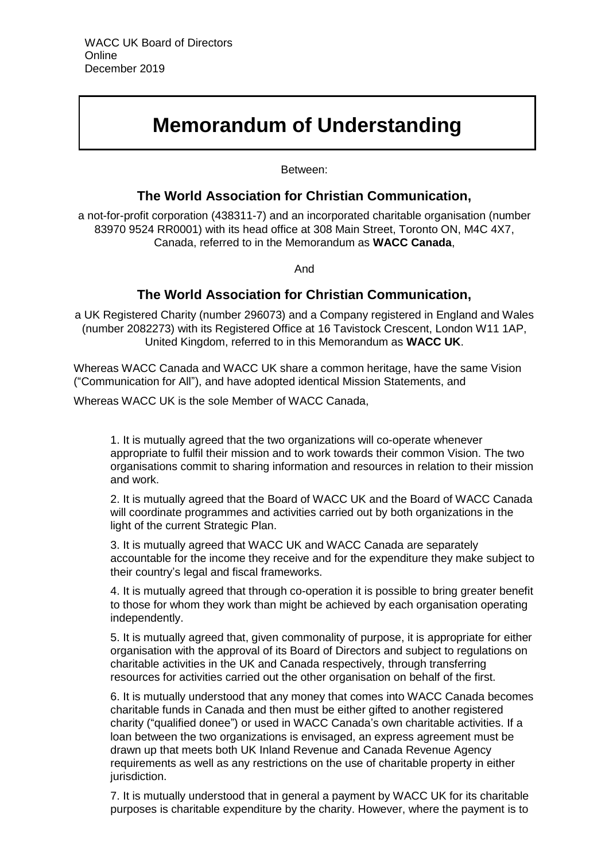# **Memorandum of Understanding**

Between:

## **The World Association for Christian Communication,**

a not-for-profit corporation (438311-7) and an incorporated charitable organisation (number 83970 9524 RR0001) with its head office at 308 Main Street, Toronto ON, M4C 4X7, Canada, referred to in the Memorandum as **WACC Canada**,

And

## **The World Association for Christian Communication,**

a UK Registered Charity (number 296073) and a Company registered in England and Wales (number 2082273) with its Registered Office at 16 Tavistock Crescent, London W11 1AP, United Kingdom, referred to in this Memorandum as **WACC UK**.

Whereas WACC Canada and WACC UK share a common heritage, have the same Vision ("Communication for All"), and have adopted identical Mission Statements, and

Whereas WACC UK is the sole Member of WACC Canada,

1. It is mutually agreed that the two organizations will co-operate whenever appropriate to fulfil their mission and to work towards their common Vision. The two organisations commit to sharing information and resources in relation to their mission and work.

2. It is mutually agreed that the Board of WACC UK and the Board of WACC Canada will coordinate programmes and activities carried out by both organizations in the light of the current Strategic Plan.

3. It is mutually agreed that WACC UK and WACC Canada are separately accountable for the income they receive and for the expenditure they make subject to their country's legal and fiscal frameworks.

4. It is mutually agreed that through co-operation it is possible to bring greater benefit to those for whom they work than might be achieved by each organisation operating independently.

5. It is mutually agreed that, given commonality of purpose, it is appropriate for either organisation with the approval of its Board of Directors and subject to regulations on charitable activities in the UK and Canada respectively, through transferring resources for activities carried out the other organisation on behalf of the first.

6. It is mutually understood that any money that comes into WACC Canada becomes charitable funds in Canada and then must be either gifted to another registered charity ("qualified donee") or used in WACC Canada's own charitable activities. If a loan between the two organizations is envisaged, an express agreement must be drawn up that meets both UK Inland Revenue and Canada Revenue Agency requirements as well as any restrictions on the use of charitable property in either jurisdiction.

7. It is mutually understood that in general a payment by WACC UK for its charitable purposes is charitable expenditure by the charity. However, where the payment is to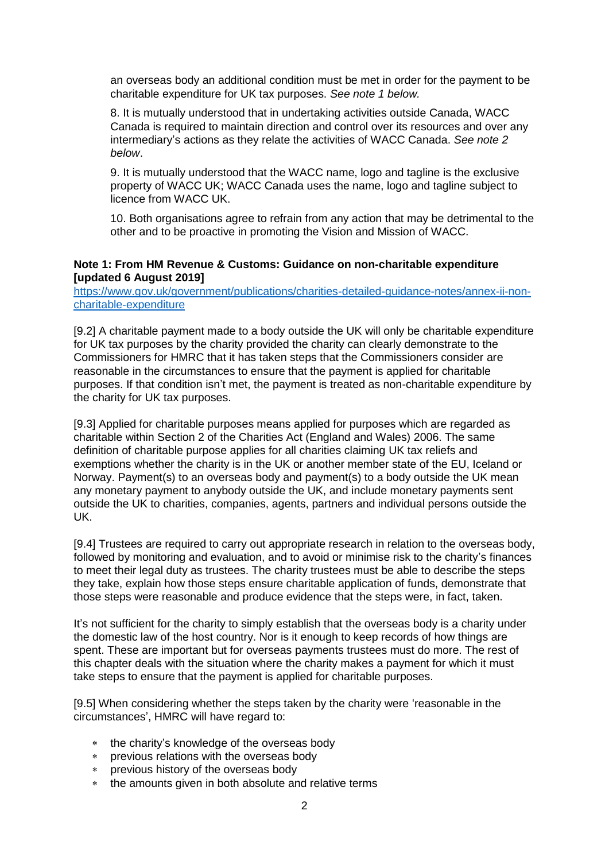an overseas body an additional condition must be met in order for the payment to be charitable expenditure for UK tax purposes. *See note 1 below.*

8. It is mutually understood that in undertaking activities outside Canada, WACC Canada is required to maintain direction and control over its resources and over any intermediary's actions as they relate the activities of WACC Canada. *See note 2 below*.

9. It is mutually understood that the WACC name, logo and tagline is the exclusive property of WACC UK; WACC Canada uses the name, logo and tagline subject to licence from WACC UK.

10. Both organisations agree to refrain from any action that may be detrimental to the other and to be proactive in promoting the Vision and Mission of WACC.

#### **Note 1: From HM Revenue & Customs: Guidance on non-charitable expenditure [updated 6 August 2019]**

[https://www.gov.uk/government/publications/charities-detailed-guidance-notes/annex-ii-non](https://www.gov.uk/government/publications/charities-detailed-guidance-notes/annex-ii-non-charitable-expenditure)[charitable-expenditure](https://www.gov.uk/government/publications/charities-detailed-guidance-notes/annex-ii-non-charitable-expenditure)

[9.2] A charitable payment made to a body outside the UK will only be charitable expenditure for UK tax purposes by the charity provided the charity can clearly demonstrate to the Commissioners for HMRC that it has taken steps that the Commissioners consider are reasonable in the circumstances to ensure that the payment is applied for charitable purposes. If that condition isn't met, the payment is treated as non-charitable expenditure by the charity for UK tax purposes.

[9.3] Applied for charitable purposes means applied for purposes which are regarded as charitable within Section 2 of the Charities Act (England and Wales) 2006. The same definition of charitable purpose applies for all charities claiming UK tax reliefs and exemptions whether the charity is in the UK or another member state of the EU, Iceland or Norway. Payment(s) to an overseas body and payment(s) to a body outside the UK mean any monetary payment to anybody outside the UK, and include monetary payments sent outside the UK to charities, companies, agents, partners and individual persons outside the UK.

[9.4] Trustees are required to carry out appropriate research in relation to the overseas body, followed by monitoring and evaluation, and to avoid or minimise risk to the charity's finances to meet their legal duty as trustees. The charity trustees must be able to describe the steps they take, explain how those steps ensure charitable application of funds, demonstrate that those steps were reasonable and produce evidence that the steps were, in fact, taken.

It's not sufficient for the charity to simply establish that the overseas body is a charity under the domestic law of the host country. Nor is it enough to keep records of how things are spent. These are important but for overseas payments trustees must do more. The rest of this chapter deals with the situation where the charity makes a payment for which it must take steps to ensure that the payment is applied for charitable purposes.

[9.5] When considering whether the steps taken by the charity were 'reasonable in the circumstances', HMRC will have regard to:

- \* the charity's knowledge of the overseas body
- previous relations with the overseas body
- previous history of the overseas body
- \* the amounts given in both absolute and relative terms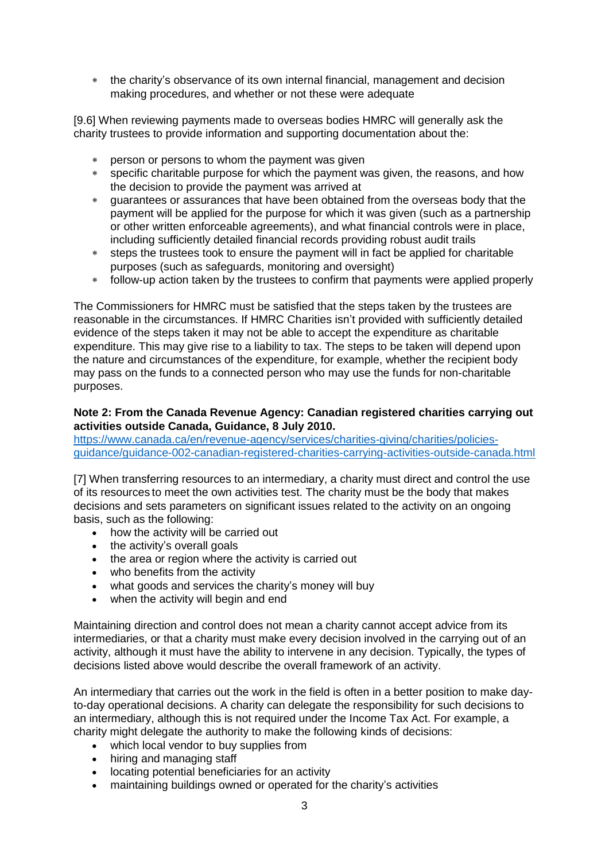the charity's observance of its own internal financial, management and decision making procedures, and whether or not these were adequate

[9.6] When reviewing payments made to overseas bodies HMRC will generally ask the charity trustees to provide information and supporting documentation about the:

- person or persons to whom the payment was given
- specific charitable purpose for which the payment was given, the reasons, and how the decision to provide the payment was arrived at
- guarantees or assurances that have been obtained from the overseas body that the payment will be applied for the purpose for which it was given (such as a partnership or other written enforceable agreements), and what financial controls were in place, including sufficiently detailed financial records providing robust audit trails
- steps the trustees took to ensure the payment will in fact be applied for charitable purposes (such as safeguards, monitoring and oversight)
- follow-up action taken by the trustees to confirm that payments were applied properly

The Commissioners for HMRC must be satisfied that the steps taken by the trustees are reasonable in the circumstances. If HMRC Charities isn't provided with sufficiently detailed evidence of the steps taken it may not be able to accept the expenditure as charitable expenditure. This may give rise to a liability to tax. The steps to be taken will depend upon the nature and circumstances of the expenditure, for example, whether the recipient body may pass on the funds to a connected person who may use the funds for non-charitable purposes.

#### **Note 2: From the Canada Revenue Agency: Canadian registered charities carrying out activities outside Canada, Guidance, 8 July 2010.**

[https://www.canada.ca/en/revenue-agency/services/charities-giving/charities/policies](https://www.canada.ca/en/revenue-agency/services/charities-giving/charities/policies-guidance/guidance-002-canadian-registered-charities-carrying-activities-outside-canada.html)[guidance/guidance-002-canadian-registered-charities-carrying-activities-outside-canada.html](https://www.canada.ca/en/revenue-agency/services/charities-giving/charities/policies-guidance/guidance-002-canadian-registered-charities-carrying-activities-outside-canada.html)

[7] When transferring resources to an intermediary, a charity must direct and control the use of its resources to meet the own activities test. The charity must be the body that makes decisions and sets parameters on significant issues related to the activity on an ongoing basis, such as the following:

- how the activity will be carried out
- the activity's overall goals
- the area or region where the activity is carried out
- who benefits from the activity
- what goods and services the charity's money will buy
- when the activity will begin and end

Maintaining direction and control does not mean a charity cannot accept advice from its intermediaries, or that a charity must make every decision involved in the carrying out of an activity, although it must have the ability to intervene in any decision. Typically, the types of decisions listed above would describe the overall framework of an activity.

An intermediary that carries out the work in the field is often in a better position to make dayto-day operational decisions. A charity can delegate the responsibility for such decisions to an intermediary, although this is not required under the Income Tax Act. For example, a charity might delegate the authority to make the following kinds of decisions:

- which local vendor to buy supplies from
- hiring and managing staff
- locating potential beneficiaries for an activity
- maintaining buildings owned or operated for the charity's activities